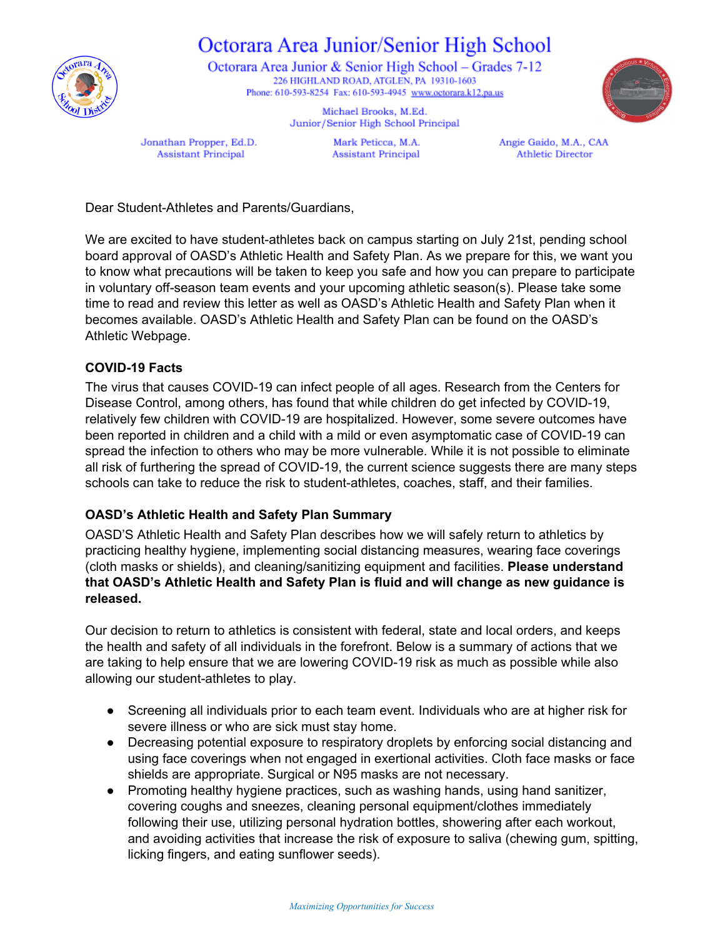

# Octorara Area Junior/Senior High School

Octorara Area Junior & Senior High School – Grades 7-12 226 HIGHLAND ROAD, ATGLEN, PA 19310-1603 Phone: 610-593-8254 Fax: 610-593-4945 www.octorara.k12.pa.us



Michael Brooks, M.Ed. Junior/Senior High School Principal

Jonathan Propper, Ed.D. **Assistant Principal** 

Mark Peticca, M.A. **Assistant Principal**  Angie Gaido, M.A., CAA **Athletic Director** 

Dear Student-Athletes and Parents/Guardians,

We are excited to have student-athletes back on campus starting on July 21st, pending school board approval of OASD's Athletic Health and Safety Plan. As we prepare for this, we want you to know what precautions will be taken to keep you safe and how you can prepare to participate in voluntary off-season team events and your upcoming athletic season(s). Please take some time to read and review this letter as well as OASD's Athletic Health and Safety Plan when it becomes available. OASD's Athletic Health and Safety Plan can be found on the OASD's Athletic Webpage.

#### **COVID-19 Facts**

The virus that causes COVID-19 can infect people of all ages. Research from the Centers for Disease Control, among others, has found that while children do get infected by COVID-19, relatively few children with COVID-19 are hospitalized. However, some severe outcomes have been reported in children and a child with a mild or even asymptomatic case of COVID-19 can spread the infection to others who may be more vulnerable. While it is not possible to eliminate all risk of furthering the spread of COVID-19, the current science suggests there are many steps schools can take to reduce the risk to student-athletes, coaches, staff, and their families.

#### **OASD's Athletic Health and Safety Plan Summary**

OASD'S Athletic Health and Safety Plan describes how we will safely return to athletics by practicing healthy hygiene, implementing social distancing measures, wearing face coverings (cloth masks or shields), and cleaning/sanitizing equipment and facilities. **Please understand that OASD's Athletic Health and Safety Plan is fluid and will change as new guidance is released.**

Our decision to return to athletics is consistent with federal, state and local orders, and keeps the health and safety of all individuals in the forefront. Below is a summary of actions that we are taking to help ensure that we are lowering COVID-19 risk as much as possible while also allowing our student-athletes to play.

- Screening all individuals prior to each team event. Individuals who are at higher risk for severe illness or who are sick must stay home.
- Decreasing potential exposure to respiratory droplets by enforcing social distancing and using face coverings when not engaged in exertional activities. Cloth face masks or face shields are appropriate. Surgical or N95 masks are not necessary.
- Promoting healthy hygiene practices, such as washing hands, using hand sanitizer, covering coughs and sneezes, cleaning personal equipment/clothes immediately following their use, utilizing personal hydration bottles, showering after each workout, and avoiding activities that increase the risk of exposure to saliva (chewing gum, spitting, licking fingers, and eating sunflower seeds).